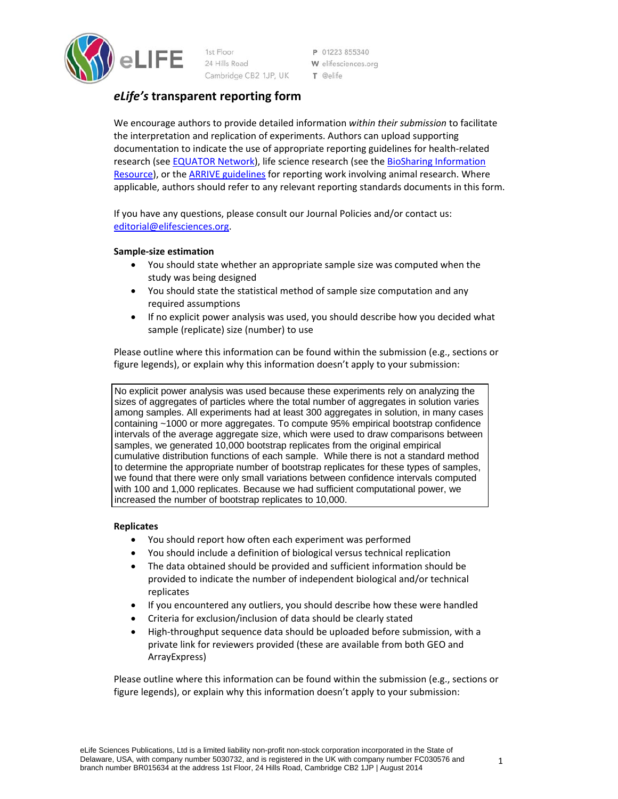

24 Hills Road Cambridge CB2 1JP, UK P 01223 855340 W elifesciences.org T @elife

# *eLife's* **transparent reporting form**

We encourage authors to provide detailed information *within their submission* to facilitate the interpretation and replication of experiments. Authors can upload supporting documentation to indicate the use of appropriate reporting guidelines for health‐related research (see EQUATOR Network), life science research (see the BioSharing Information Resource), or the ARRIVE guidelines for reporting work involving animal research. Where applicable, authors should refer to any relevant reporting standards documents in this form.

If you have any questions, please consult our Journal Policies and/or contact us: editorial@elifesciences.org.

# **Sample‐size estimation**

- You should state whether an appropriate sample size was computed when the study was being designed
- You should state the statistical method of sample size computation and any required assumptions
- If no explicit power analysis was used, you should describe how you decided what sample (replicate) size (number) to use

Please outline where this information can be found within the submission (e.g., sections or figure legends), or explain why this information doesn't apply to your submission:

No explicit power analysis was used because these experiments rely on analyzing the sizes of aggregates of particles where the total number of aggregates in solution varies among samples. All experiments had at least 300 aggregates in solution, in many cases containing ~1000 or more aggregates. To compute 95% empirical bootstrap confidence intervals of the average aggregate size, which were used to draw comparisons between samples, we generated 10,000 bootstrap replicates from the original empirical cumulative distribution functions of each sample. While there is not a standard method to determine the appropriate number of bootstrap replicates for these types of samples, we found that there were only small variations between confidence intervals computed with 100 and 1,000 replicates. Because we had sufficient computational power, we increased the number of bootstrap replicates to 10,000.

## **Replicates**

- You should report how often each experiment was performed
- You should include a definition of biological versus technical replication
- The data obtained should be provided and sufficient information should be provided to indicate the number of independent biological and/or technical replicates
- If you encountered any outliers, you should describe how these were handled
- Criteria for exclusion/inclusion of data should be clearly stated
- High-throughput sequence data should be uploaded before submission, with a private link for reviewers provided (these are available from both GEO and ArrayExpress)

Please outline where this information can be found within the submission (e.g., sections or figure legends), or explain why this information doesn't apply to your submission: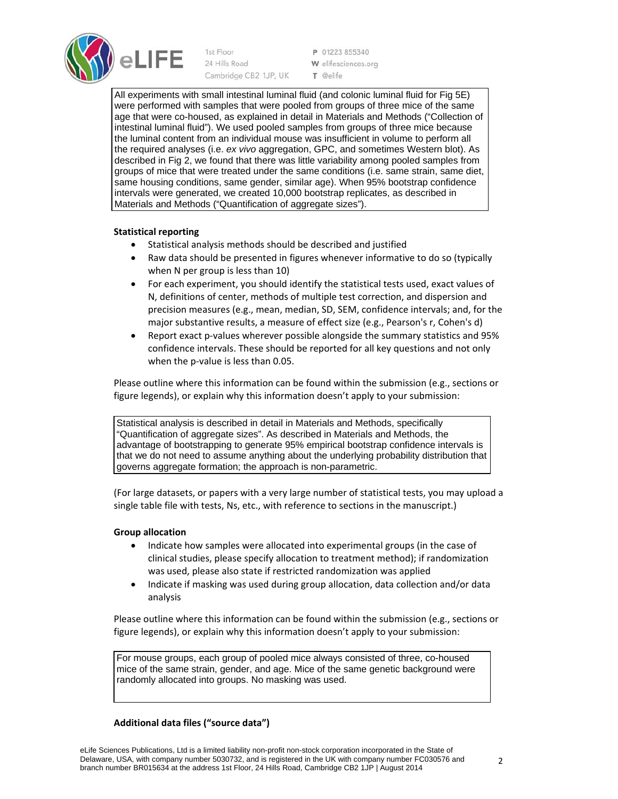

1st Floor 24 Hills Road Cambridge CB2 1JP, UK

P 01223 855340 W elifesciences.org T @elife

All experiments with small intestinal luminal fluid (and colonic luminal fluid for Fig 5E) were performed with samples that were pooled from groups of three mice of the same age that were co-housed, as explained in detail in Materials and Methods ("Collection of intestinal luminal fluid"). We used pooled samples from groups of three mice because the luminal content from an individual mouse was insufficient in volume to perform all the required analyses (i.e. *ex vivo* aggregation, GPC, and sometimes Western blot). As described in Fig 2, we found that there was little variability among pooled samples from groups of mice that were treated under the same conditions (i.e. same strain, same diet, same housing conditions, same gender, similar age). When 95% bootstrap confidence intervals were generated, we created 10,000 bootstrap replicates, as described in Materials and Methods ("Quantification of aggregate sizes").

# **Statistical reporting**

- Statistical analysis methods should be described and justified
- Raw data should be presented in figures whenever informative to do so (typically when N per group is less than 10)
- For each experiment, you should identify the statistical tests used, exact values of N, definitions of center, methods of multiple test correction, and dispersion and precision measures (e.g., mean, median, SD, SEM, confidence intervals; and, for the major substantive results, a measure of effect size (e.g., Pearson's r, Cohen's d)
- Report exact p‐values wherever possible alongside the summary statistics and 95% confidence intervals. These should be reported for all key questions and not only when the p-value is less than 0.05.

Please outline where this information can be found within the submission (e.g., sections or figure legends), or explain why this information doesn't apply to your submission:

Statistical analysis is described in detail in Materials and Methods, specifically "Quantification of aggregate sizes". As described in Materials and Methods, the advantage of bootstrapping to generate 95% empirical bootstrap confidence intervals is that we do not need to assume anything about the underlying probability distribution that governs aggregate formation; the approach is non-parametric.

(For large datasets, or papers with a very large number of statistical tests, you may upload a single table file with tests, Ns, etc., with reference to sections in the manuscript.)

## **Group allocation**

- Indicate how samples were allocated into experimental groups (in the case of clinical studies, please specify allocation to treatment method); if randomization was used, please also state if restricted randomization was applied
- Indicate if masking was used during group allocation, data collection and/or data analysis

Please outline where this information can be found within the submission (e.g., sections or figure legends), or explain why this information doesn't apply to your submission:

For mouse groups, each group of pooled mice always consisted of three, co-housed mice of the same strain, gender, and age. Mice of the same genetic background were randomly allocated into groups. No masking was used.

## **Additional data files ("source data")**